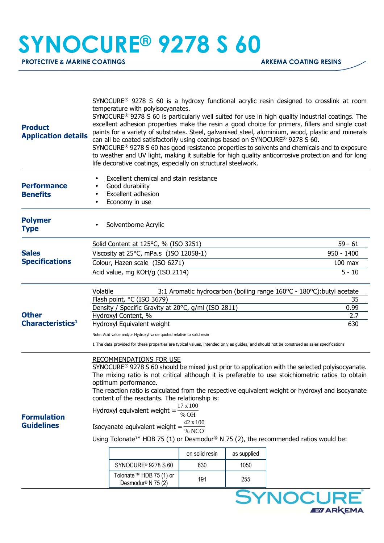## **SYNOCURE® 9278 S 60**

**PROTECTIVE & MARINE COATINGS ARKEMA COATING RESINS** 

זו ע **EVARKEMA** 

| Excellent chemical and stain resistance<br><b>Performance</b><br>Good durability<br>Excellent adhesion<br><b>Benefits</b><br>Economy in use<br><b>Polymer</b><br>Solventborne Acrylic<br><b>Type</b><br>$59 - 61$<br>Solid Content at 125°C, % (ISO 3251)<br><b>Sales</b><br>Viscosity at 25°C, mPa.s (ISO 12058-1)<br>$950 - 1400$<br><b>Specifications</b><br>Colour, Hazen scale (ISO 6271)<br>$100$ max<br>Acid value, mg KOH/g (ISO 2114)<br>$5 - 10$<br>Volatile<br>3:1 Aromatic hydrocarbon (boiling range 160°C - 180°C): butyl acetate<br>Flash point, °C (ISO 3679)<br>35<br>Density / Specific Gravity at 20°C, g/ml (ISO 2811)<br>0.99<br><b>Other</b><br>Hydroxyl Content, %<br>2.7<br>Characteristics <sup>1</sup><br>Hydroxyl Equivalent weight<br>630<br>Note: Acid value and/or Hydroxyl value quoted relative to solid resin<br>1 The data provided for these properties are typical values, intended only as guides, and should not be construed as sales specifications<br><b>RECOMMENDATIONS FOR USE</b><br>SYNOCURE <sup>®</sup> 9278 S 60 should be mixed just prior to application with the selected polyisocyanate.<br>The mixing ratio is not critical although it is preferable to use stoichiometric ratios to obtain<br>optimum performance.<br>The reaction ratio is calculated from the respective equivalent weight or hydroxyl and isocyanate<br>content of the reactants. The relationship is:<br>$17 \times 100$<br>Hydroxyl equivalent weight =<br>% OH<br><b>Formulation</b><br>42 x 100<br><b>Guidelines</b><br>Isocyanate equivalent weight =<br>% NCO<br>Using Tolonate <sup>™</sup> HDB 75 (1) or Desmodur <sup>®</sup> N 75 (2), the recommended ratios would be:<br>on solid resin<br>as supplied<br>SYNOCURE <sup>®</sup> 9278 S 60<br>630<br>1050<br>Tolonate™ HDB 75 (1) or<br>191<br>255<br>Desmodur <sup>®</sup> N 75 (2)<br><b>SYNOCURE</b> | <b>Product</b><br><b>Application details</b> | SYNOCURE <sup>®</sup> 9278 S 60 is a hydroxy functional acrylic resin designed to crosslink at room<br>temperature with polyisocyanates.<br>SYNOCURE <sup>®</sup> 9278 S 60 is particularly well suited for use in high quality industrial coatings. The<br>excellent adhesion properties make the resin a good choice for primers, fillers and single coat<br>paints for a variety of substrates. Steel, galvanised steel, aluminium, wood, plastic and minerals<br>can all be coated satisfactorily using coatings based on SYNOCURE® 9278 S 60.<br>SYNOCURE <sup>®</sup> 9278 S 60 has good resistance properties to solvents and chemicals and to exposure<br>to weather and UV light, making it suitable for high quality anticorrosive protection and for long<br>life decorative coatings, especially on structural steelwork. |  |  |  |  |  |
|----------------------------------------------------------------------------------------------------------------------------------------------------------------------------------------------------------------------------------------------------------------------------------------------------------------------------------------------------------------------------------------------------------------------------------------------------------------------------------------------------------------------------------------------------------------------------------------------------------------------------------------------------------------------------------------------------------------------------------------------------------------------------------------------------------------------------------------------------------------------------------------------------------------------------------------------------------------------------------------------------------------------------------------------------------------------------------------------------------------------------------------------------------------------------------------------------------------------------------------------------------------------------------------------------------------------------------------------------------------------------------------------------------------------------------------------------------------------------------------------------------------------------------------------------------------------------------------------------------------------------------------------------------------------------------------------------------------------------------------------------------------------------------------------------------------------------------------------------------------------------------------------|----------------------------------------------|---------------------------------------------------------------------------------------------------------------------------------------------------------------------------------------------------------------------------------------------------------------------------------------------------------------------------------------------------------------------------------------------------------------------------------------------------------------------------------------------------------------------------------------------------------------------------------------------------------------------------------------------------------------------------------------------------------------------------------------------------------------------------------------------------------------------------------------|--|--|--|--|--|
|                                                                                                                                                                                                                                                                                                                                                                                                                                                                                                                                                                                                                                                                                                                                                                                                                                                                                                                                                                                                                                                                                                                                                                                                                                                                                                                                                                                                                                                                                                                                                                                                                                                                                                                                                                                                                                                                                              |                                              |                                                                                                                                                                                                                                                                                                                                                                                                                                                                                                                                                                                                                                                                                                                                                                                                                                       |  |  |  |  |  |
|                                                                                                                                                                                                                                                                                                                                                                                                                                                                                                                                                                                                                                                                                                                                                                                                                                                                                                                                                                                                                                                                                                                                                                                                                                                                                                                                                                                                                                                                                                                                                                                                                                                                                                                                                                                                                                                                                              |                                              |                                                                                                                                                                                                                                                                                                                                                                                                                                                                                                                                                                                                                                                                                                                                                                                                                                       |  |  |  |  |  |
|                                                                                                                                                                                                                                                                                                                                                                                                                                                                                                                                                                                                                                                                                                                                                                                                                                                                                                                                                                                                                                                                                                                                                                                                                                                                                                                                                                                                                                                                                                                                                                                                                                                                                                                                                                                                                                                                                              |                                              |                                                                                                                                                                                                                                                                                                                                                                                                                                                                                                                                                                                                                                                                                                                                                                                                                                       |  |  |  |  |  |
|                                                                                                                                                                                                                                                                                                                                                                                                                                                                                                                                                                                                                                                                                                                                                                                                                                                                                                                                                                                                                                                                                                                                                                                                                                                                                                                                                                                                                                                                                                                                                                                                                                                                                                                                                                                                                                                                                              |                                              |                                                                                                                                                                                                                                                                                                                                                                                                                                                                                                                                                                                                                                                                                                                                                                                                                                       |  |  |  |  |  |
|                                                                                                                                                                                                                                                                                                                                                                                                                                                                                                                                                                                                                                                                                                                                                                                                                                                                                                                                                                                                                                                                                                                                                                                                                                                                                                                                                                                                                                                                                                                                                                                                                                                                                                                                                                                                                                                                                              |                                              |                                                                                                                                                                                                                                                                                                                                                                                                                                                                                                                                                                                                                                                                                                                                                                                                                                       |  |  |  |  |  |
|                                                                                                                                                                                                                                                                                                                                                                                                                                                                                                                                                                                                                                                                                                                                                                                                                                                                                                                                                                                                                                                                                                                                                                                                                                                                                                                                                                                                                                                                                                                                                                                                                                                                                                                                                                                                                                                                                              |                                              |                                                                                                                                                                                                                                                                                                                                                                                                                                                                                                                                                                                                                                                                                                                                                                                                                                       |  |  |  |  |  |
|                                                                                                                                                                                                                                                                                                                                                                                                                                                                                                                                                                                                                                                                                                                                                                                                                                                                                                                                                                                                                                                                                                                                                                                                                                                                                                                                                                                                                                                                                                                                                                                                                                                                                                                                                                                                                                                                                              |                                              |                                                                                                                                                                                                                                                                                                                                                                                                                                                                                                                                                                                                                                                                                                                                                                                                                                       |  |  |  |  |  |
|                                                                                                                                                                                                                                                                                                                                                                                                                                                                                                                                                                                                                                                                                                                                                                                                                                                                                                                                                                                                                                                                                                                                                                                                                                                                                                                                                                                                                                                                                                                                                                                                                                                                                                                                                                                                                                                                                              |                                              |                                                                                                                                                                                                                                                                                                                                                                                                                                                                                                                                                                                                                                                                                                                                                                                                                                       |  |  |  |  |  |
|                                                                                                                                                                                                                                                                                                                                                                                                                                                                                                                                                                                                                                                                                                                                                                                                                                                                                                                                                                                                                                                                                                                                                                                                                                                                                                                                                                                                                                                                                                                                                                                                                                                                                                                                                                                                                                                                                              |                                              |                                                                                                                                                                                                                                                                                                                                                                                                                                                                                                                                                                                                                                                                                                                                                                                                                                       |  |  |  |  |  |
|                                                                                                                                                                                                                                                                                                                                                                                                                                                                                                                                                                                                                                                                                                                                                                                                                                                                                                                                                                                                                                                                                                                                                                                                                                                                                                                                                                                                                                                                                                                                                                                                                                                                                                                                                                                                                                                                                              |                                              |                                                                                                                                                                                                                                                                                                                                                                                                                                                                                                                                                                                                                                                                                                                                                                                                                                       |  |  |  |  |  |
|                                                                                                                                                                                                                                                                                                                                                                                                                                                                                                                                                                                                                                                                                                                                                                                                                                                                                                                                                                                                                                                                                                                                                                                                                                                                                                                                                                                                                                                                                                                                                                                                                                                                                                                                                                                                                                                                                              |                                              |                                                                                                                                                                                                                                                                                                                                                                                                                                                                                                                                                                                                                                                                                                                                                                                                                                       |  |  |  |  |  |
|                                                                                                                                                                                                                                                                                                                                                                                                                                                                                                                                                                                                                                                                                                                                                                                                                                                                                                                                                                                                                                                                                                                                                                                                                                                                                                                                                                                                                                                                                                                                                                                                                                                                                                                                                                                                                                                                                              |                                              |                                                                                                                                                                                                                                                                                                                                                                                                                                                                                                                                                                                                                                                                                                                                                                                                                                       |  |  |  |  |  |
|                                                                                                                                                                                                                                                                                                                                                                                                                                                                                                                                                                                                                                                                                                                                                                                                                                                                                                                                                                                                                                                                                                                                                                                                                                                                                                                                                                                                                                                                                                                                                                                                                                                                                                                                                                                                                                                                                              |                                              |                                                                                                                                                                                                                                                                                                                                                                                                                                                                                                                                                                                                                                                                                                                                                                                                                                       |  |  |  |  |  |
|                                                                                                                                                                                                                                                                                                                                                                                                                                                                                                                                                                                                                                                                                                                                                                                                                                                                                                                                                                                                                                                                                                                                                                                                                                                                                                                                                                                                                                                                                                                                                                                                                                                                                                                                                                                                                                                                                              |                                              |                                                                                                                                                                                                                                                                                                                                                                                                                                                                                                                                                                                                                                                                                                                                                                                                                                       |  |  |  |  |  |